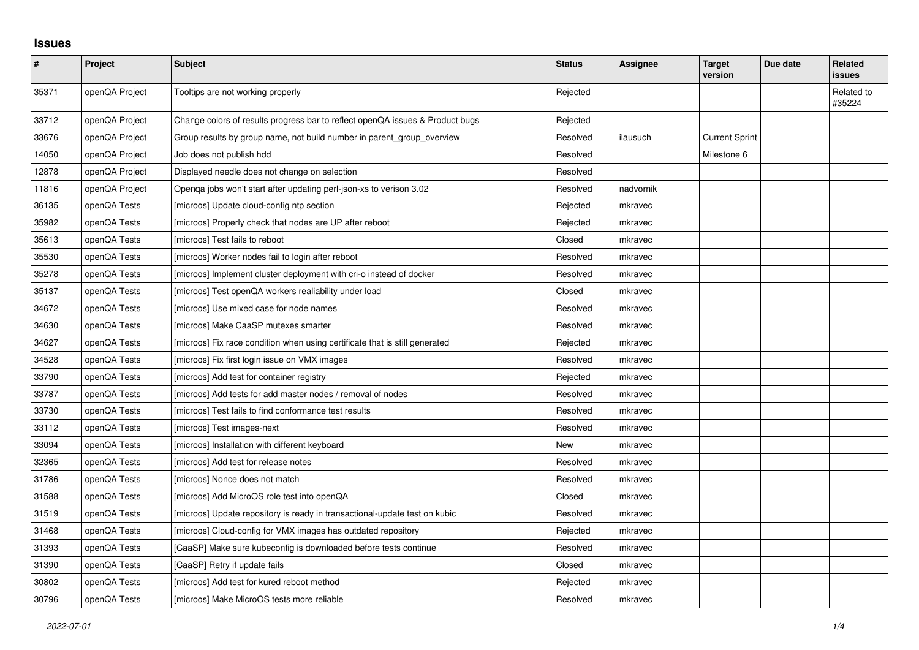## **Issues**

| $\vert$ # | Project        | <b>Subject</b>                                                                | <b>Status</b> | Assignee  | <b>Target</b><br>version | Due date | Related<br>issues    |
|-----------|----------------|-------------------------------------------------------------------------------|---------------|-----------|--------------------------|----------|----------------------|
| 35371     | openQA Project | Tooltips are not working properly                                             | Rejected      |           |                          |          | Related to<br>#35224 |
| 33712     | openQA Project | Change colors of results progress bar to reflect openQA issues & Product bugs | Rejected      |           |                          |          |                      |
| 33676     | openQA Project | Group results by group name, not build number in parent_group_overview        | Resolved      | ilausuch  | <b>Current Sprint</b>    |          |                      |
| 14050     | openQA Project | Job does not publish hdd                                                      | Resolved      |           | Milestone 6              |          |                      |
| 12878     | openQA Project | Displayed needle does not change on selection                                 | Resolved      |           |                          |          |                      |
| 11816     | openQA Project | Openga jobs won't start after updating perl-json-xs to verison 3.02           | Resolved      | nadvornik |                          |          |                      |
| 36135     | openQA Tests   | [microos] Update cloud-config ntp section                                     | Rejected      | mkravec   |                          |          |                      |
| 35982     | openQA Tests   | [microos] Properly check that nodes are UP after reboot                       | Rejected      | mkravec   |                          |          |                      |
| 35613     | openQA Tests   | [microos] Test fails to reboot                                                | Closed        | mkravec   |                          |          |                      |
| 35530     | openQA Tests   | [microos] Worker nodes fail to login after reboot                             | Resolved      | mkravec   |                          |          |                      |
| 35278     | openQA Tests   | [microos] Implement cluster deployment with cri-o instead of docker           | Resolved      | mkravec   |                          |          |                      |
| 35137     | openQA Tests   | [microos] Test openQA workers realiability under load                         | Closed        | mkravec   |                          |          |                      |
| 34672     | openQA Tests   | [microos] Use mixed case for node names                                       | Resolved      | mkravec   |                          |          |                      |
| 34630     | openQA Tests   | [microos] Make CaaSP mutexes smarter                                          | Resolved      | mkravec   |                          |          |                      |
| 34627     | openQA Tests   | [microos] Fix race condition when using certificate that is still generated   | Rejected      | mkravec   |                          |          |                      |
| 34528     | openQA Tests   | [microos] Fix first login issue on VMX images                                 | Resolved      | mkravec   |                          |          |                      |
| 33790     | openQA Tests   | [microos] Add test for container registry                                     | Rejected      | mkravec   |                          |          |                      |
| 33787     | openQA Tests   | [microos] Add tests for add master nodes / removal of nodes                   | Resolved      | mkravec   |                          |          |                      |
| 33730     | openQA Tests   | [microos] Test fails to find conformance test results                         | Resolved      | mkravec   |                          |          |                      |
| 33112     | openQA Tests   | [microos] Test images-next                                                    | Resolved      | mkravec   |                          |          |                      |
| 33094     | openQA Tests   | [microos] Installation with different keyboard                                | New           | mkravec   |                          |          |                      |
| 32365     | openQA Tests   | [microos] Add test for release notes                                          | Resolved      | mkravec   |                          |          |                      |
| 31786     | openQA Tests   | [microos] Nonce does not match                                                | Resolved      | mkravec   |                          |          |                      |
| 31588     | openQA Tests   | [microos] Add MicroOS role test into openQA                                   | Closed        | mkravec   |                          |          |                      |
| 31519     | openQA Tests   | [microos] Update repository is ready in transactional-update test on kubic    | Resolved      | mkravec   |                          |          |                      |
| 31468     | openQA Tests   | [microos] Cloud-config for VMX images has outdated repository                 | Rejected      | mkravec   |                          |          |                      |
| 31393     | openQA Tests   | [CaaSP] Make sure kubeconfig is downloaded before tests continue              | Resolved      | mkravec   |                          |          |                      |
| 31390     | openQA Tests   | [CaaSP] Retry if update fails                                                 | Closed        | mkravec   |                          |          |                      |
| 30802     | openQA Tests   | [microos] Add test for kured reboot method                                    | Rejected      | mkravec   |                          |          |                      |
| 30796     | openQA Tests   | [microos] Make MicroOS tests more reliable                                    | Resolved      | mkravec   |                          |          |                      |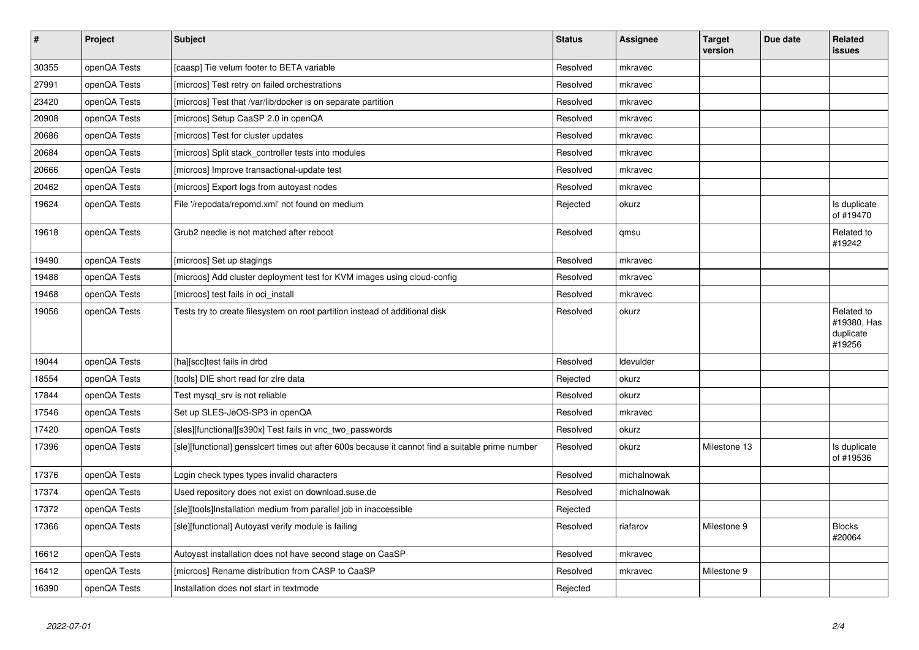| $\vert$ # | <b>Project</b> | <b>Subject</b>                                                                                   | <b>Status</b> | <b>Assignee</b> | <b>Target</b><br>version | Due date | Related<br><b>issues</b>                         |
|-----------|----------------|--------------------------------------------------------------------------------------------------|---------------|-----------------|--------------------------|----------|--------------------------------------------------|
| 30355     | openQA Tests   | [caasp] Tie velum footer to BETA variable                                                        | Resolved      | mkravec         |                          |          |                                                  |
| 27991     | openQA Tests   | [microos] Test retry on failed orchestrations                                                    | Resolved      | mkravec         |                          |          |                                                  |
| 23420     | openQA Tests   | [microos] Test that /var/lib/docker is on separate partition                                     | Resolved      | mkravec         |                          |          |                                                  |
| 20908     | openQA Tests   | [microos] Setup CaaSP 2.0 in openQA                                                              | Resolved      | mkravec         |                          |          |                                                  |
| 20686     | openQA Tests   | [microos] Test for cluster updates                                                               | Resolved      | mkravec         |                          |          |                                                  |
| 20684     | openQA Tests   | [microos] Split stack_controller tests into modules                                              | Resolved      | mkravec         |                          |          |                                                  |
| 20666     | openQA Tests   | [microos] Improve transactional-update test                                                      | Resolved      | mkravec         |                          |          |                                                  |
| 20462     | openQA Tests   | [microos] Export logs from autoyast nodes                                                        | Resolved      | mkravec         |                          |          |                                                  |
| 19624     | openQA Tests   | File '/repodata/repomd.xml' not found on medium                                                  | Rejected      | okurz           |                          |          | Is duplicate<br>of #19470                        |
| 19618     | openQA Tests   | Grub2 needle is not matched after reboot                                                         | Resolved      | qmsu            |                          |          | Related to<br>#19242                             |
| 19490     | openQA Tests   | [microos] Set up stagings                                                                        | Resolved      | mkravec         |                          |          |                                                  |
| 19488     | openQA Tests   | [microos] Add cluster deployment test for KVM images using cloud-config                          | Resolved      | mkravec         |                          |          |                                                  |
| 19468     | openQA Tests   | [microos] test fails in oci_install                                                              | Resolved      | mkravec         |                          |          |                                                  |
| 19056     | openQA Tests   | Tests try to create filesystem on root partition instead of additional disk                      | Resolved      | okurz           |                          |          | Related to<br>#19380, Has<br>duplicate<br>#19256 |
| 19044     | openQA Tests   | [ha][scc]test fails in drbd                                                                      | Resolved      | Idevulder       |                          |          |                                                  |
| 18554     | openQA Tests   | [tools] DIE short read for zire data                                                             | Rejected      | okurz           |                          |          |                                                  |
| 17844     | openQA Tests   | Test mysql srv is not reliable                                                                   | Resolved      | okurz           |                          |          |                                                  |
| 17546     | openQA Tests   | Set up SLES-JeOS-SP3 in openQA                                                                   | Resolved      | mkravec         |                          |          |                                                  |
| 17420     | openQA Tests   | [sles][functional][s390x] Test fails in vnc two passwords                                        | Resolved      | okurz           |                          |          |                                                  |
| 17396     | openQA Tests   | [sle][functional] gensslcert times out after 600s because it cannot find a suitable prime number | Resolved      | okurz           | Milestone 13             |          | Is duplicate<br>of #19536                        |
| 17376     | openQA Tests   | Login check types types invalid characters                                                       | Resolved      | michalnowak     |                          |          |                                                  |
| 17374     | openQA Tests   | Used repository does not exist on download.suse.de                                               | Resolved      | michalnowak     |                          |          |                                                  |
| 17372     | openQA Tests   | [sle][tools]Installation medium from parallel job in inaccessible                                | Rejected      |                 |                          |          |                                                  |
| 17366     | openQA Tests   | [sle][functional] Autoyast verify module is failing                                              | Resolved      | riafarov        | Milestone 9              |          | <b>Blocks</b><br>#20064                          |
| 16612     | openQA Tests   | Autoyast installation does not have second stage on CaaSP                                        | Resolved      | mkravec         |                          |          |                                                  |
| 16412     | openQA Tests   | [microos] Rename distribution from CASP to CaaSP                                                 | Resolved      | mkravec         | Milestone 9              |          |                                                  |
| 16390     | openQA Tests   | Installation does not start in textmode                                                          | Rejected      |                 |                          |          |                                                  |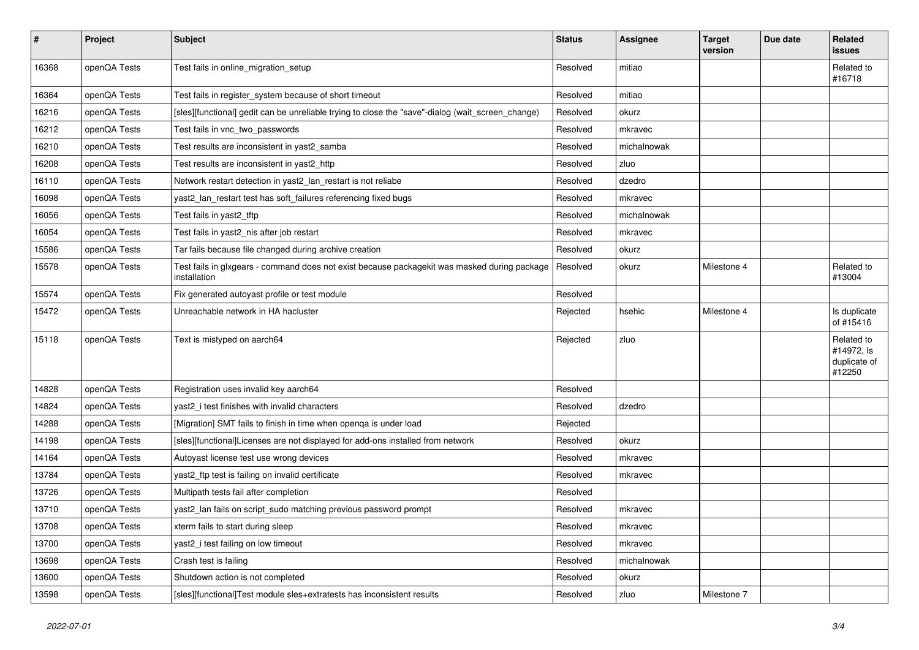| $\vert$ # | Project      | <b>Subject</b>                                                                                               | <b>Status</b> | <b>Assignee</b> | Target<br>version | Due date | <b>Related</b><br><b>issues</b>                    |
|-----------|--------------|--------------------------------------------------------------------------------------------------------------|---------------|-----------------|-------------------|----------|----------------------------------------------------|
| 16368     | openQA Tests | Test fails in online_migration_setup                                                                         | Resolved      | mitiao          |                   |          | Related to<br>#16718                               |
| 16364     | openQA Tests | Test fails in register system because of short timeout                                                       | Resolved      | mitiao          |                   |          |                                                    |
| 16216     | openQA Tests | [sles][functional] gedit can be unreliable trying to close the "save"-dialog (wait screen change)            | Resolved      | okurz           |                   |          |                                                    |
| 16212     | openQA Tests | Test fails in vnc two passwords                                                                              | Resolved      | mkravec         |                   |          |                                                    |
| 16210     | openQA Tests | Test results are inconsistent in yast2 samba                                                                 | Resolved      | michalnowak     |                   |          |                                                    |
| 16208     | openQA Tests | Test results are inconsistent in yast2_http                                                                  | Resolved      | zluo            |                   |          |                                                    |
| 16110     | openQA Tests | Network restart detection in yast2_lan_restart is not reliabe                                                | Resolved      | dzedro          |                   |          |                                                    |
| 16098     | openQA Tests | yast2_lan_restart test has soft_failures referencing fixed bugs                                              | Resolved      | mkravec         |                   |          |                                                    |
| 16056     | openQA Tests | Test fails in yast2 tftp                                                                                     | Resolved      | michalnowak     |                   |          |                                                    |
| 16054     | openQA Tests | Test fails in yast2_nis after job restart                                                                    | Resolved      | mkravec         |                   |          |                                                    |
| 15586     | openQA Tests | Tar fails because file changed during archive creation                                                       | Resolved      | okurz           |                   |          |                                                    |
| 15578     | openQA Tests | Test fails in glxgears - command does not exist because packagekit was masked during package<br>installation | Resolved      | okurz           | Milestone 4       |          | Related to<br>#13004                               |
| 15574     | openQA Tests | Fix generated autoyast profile or test module                                                                | Resolved      |                 |                   |          |                                                    |
| 15472     | openQA Tests | Unreachable network in HA hacluster                                                                          | Rejected      | hsehic          | Milestone 4       |          | Is duplicate<br>of #15416                          |
| 15118     | openQA Tests | Text is mistyped on aarch64                                                                                  | Rejected      | zluo            |                   |          | Related to<br>#14972, ls<br>duplicate of<br>#12250 |
| 14828     | openQA Tests | Registration uses invalid key aarch64                                                                        | Resolved      |                 |                   |          |                                                    |
| 14824     | openQA Tests | yast2 i test finishes with invalid characters                                                                | Resolved      | dzedro          |                   |          |                                                    |
| 14288     | openQA Tests | [Migration] SMT fails to finish in time when openqa is under load                                            | Rejected      |                 |                   |          |                                                    |
| 14198     | openQA Tests | [sles][functional]Licenses are not displayed for add-ons installed from network                              | Resolved      | okurz           |                   |          |                                                    |
| 14164     | openQA Tests | Autoyast license test use wrong devices                                                                      | Resolved      | mkravec         |                   |          |                                                    |
| 13784     | openQA Tests | yast2_ftp test is failing on invalid certificate                                                             | Resolved      | mkravec         |                   |          |                                                    |
| 13726     | openQA Tests | Multipath tests fail after completion                                                                        | Resolved      |                 |                   |          |                                                    |
| 13710     | openQA Tests | yast2_lan fails on script_sudo matching previous password prompt                                             | Resolved      | mkravec         |                   |          |                                                    |
| 13708     | openQA Tests | xterm fails to start during sleep                                                                            | Resolved      | mkravec         |                   |          |                                                    |
| 13700     | openQA Tests | yast2_i test failing on low timeout                                                                          | Resolved      | mkravec         |                   |          |                                                    |
| 13698     | openQA Tests | Crash test is failing                                                                                        | Resolved      | michalnowak     |                   |          |                                                    |
| 13600     | openQA Tests | Shutdown action is not completed                                                                             | Resolved      | okurz           |                   |          |                                                    |
| 13598     | openQA Tests | [sles][functional]Test module sles+extratests has inconsistent results                                       | Resolved      | zluo            | Milestone 7       |          |                                                    |